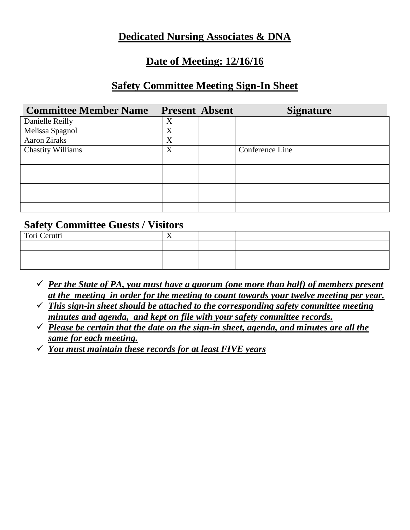### **Dedicated Nursing Associates & DNA**

### **Date of Meeting: 12/16/16**

### **Safety Committee Meeting Sign-In Sheet**

| <b>Committee Member Name</b> | <b>Present Absent</b> | <b>Signature</b> |
|------------------------------|-----------------------|------------------|
| Danielle Reilly              | X                     |                  |
| Melissa Spagnol              | X                     |                  |
| Aaron Ziraks                 | X                     |                  |
| <b>Chastity Williams</b>     | X                     | Conference Line  |
|                              |                       |                  |
|                              |                       |                  |
|                              |                       |                  |
|                              |                       |                  |
|                              |                       |                  |
|                              |                       |                  |

#### **Safety Committee Guests / Visitors**

| Tori Cerutti | $\overline{ }$ |  |
|--------------|----------------|--|
|              |                |  |
|              |                |  |
|              |                |  |

- ✓ *Per the State of PA, you must have a quorum (one more than half) of members present at the meeting in order for the meeting to count towards your twelve meeting per year.*
- ✓ *This sign-in sheet should be attached to the corresponding safety committee meeting minutes and agenda, and kept on file with your safety committee records.*
- ✓ *Please be certain that the date on the sign-in sheet, agenda, and minutes are all the same for each meeting.*
- ✓ *You must maintain these records for at least FIVE years*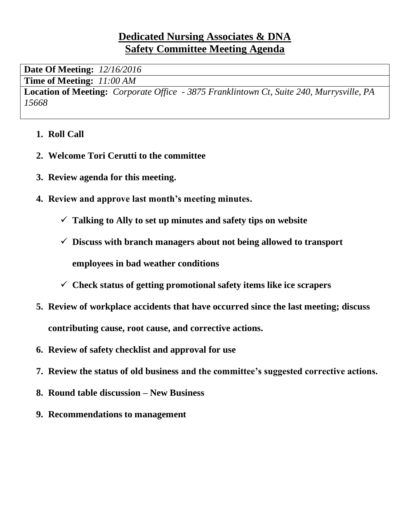## **Dedicated Nursing Associates & DNA Safety Committee Meeting Agenda**

**Date Of Meeting:** *12/16/2016*

**Time of Meeting:** *11:00 AM*

**Location of Meeting:** *Corporate Office - 3875 Franklintown Ct, Suite 240, Murrysville, PA 15668*

- **1. Roll Call**
- **2. Welcome Tori Cerutti to the committee**
- **3. Review agenda for this meeting.**
- **4. Review and approve last month's meeting minutes.**
	- ✓ **Talking to Ally to set up minutes and safety tips on website**
	- ✓ **Discuss with branch managers about not being allowed to transport employees in bad weather conditions**
	- ✓ **Check status of getting promotional safety items like ice scrapers**
- **5. Review of workplace accidents that have occurred since the last meeting; discuss contributing cause, root cause, and corrective actions.**
- **6. Review of safety checklist and approval for use**
- **7. Review the status of old business and the committee's suggested corrective actions.**
- **8. Round table discussion – New Business**
- **9. Recommendations to management**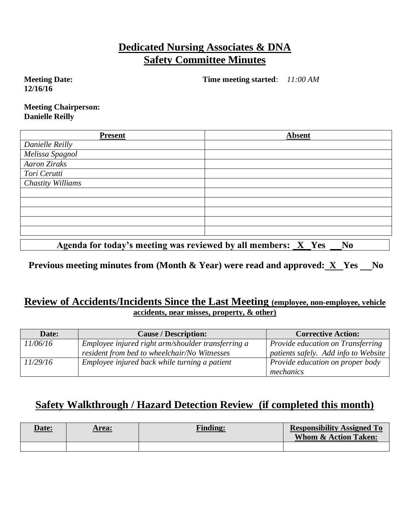## **Dedicated Nursing Associates & DNA Safety Committee Minutes**

**Meeting Date: 12/16/16**

**Time meeting started**: *11:00 AM*

**Meeting Chairperson: Danielle Reilly**

| <b>Present</b>                                                        | <b>Absent</b>                             |
|-----------------------------------------------------------------------|-------------------------------------------|
| Danielle Reilly                                                       |                                           |
| Melissa Spagnol                                                       |                                           |
| <b>Aaron Ziraks</b>                                                   |                                           |
| Tori Cerutti                                                          |                                           |
| Chastity Williams                                                     |                                           |
|                                                                       |                                           |
|                                                                       |                                           |
|                                                                       |                                           |
|                                                                       |                                           |
|                                                                       |                                           |
| $\mathbf{A}$ , and $\mathbf{A}$ , and $\mathbf{A}$ , and $\mathbf{A}$ | $\mathbf{X}$<br>$\bullet$<br>$\mathbf{v}$ |

Agenda for today's meeting was reviewed by all members: <u>X</u> Yes No

**Previous meeting minutes from (Month & Year) were read and approved: X Yes No** 

#### **Review of Accidents/Incidents Since the Last Meeting (employee, non-employee, vehicle accidents, near misses, property, & other)**

| Date:    | <b>Cause / Description:</b>                        | <b>Corrective Action:</b>            |
|----------|----------------------------------------------------|--------------------------------------|
| 11/06/16 | Employee injured right arm/shoulder transferring a | Provide education on Transferring    |
|          | resident from bed to wheelchair/No Witnesses       | patients safely. Add info to Website |
| 11/29/16 | Employee injured back while turning a patient      | Provide education on proper body     |
|          |                                                    | mechanics                            |

## **Safety Walkthrough / Hazard Detection Review (if completed this month)**

| <u>Date:</u> | Area: | <b>Finding:</b> | <b>Responsibility Assigned To</b><br><b>Whom &amp; Action Taken:</b> |
|--------------|-------|-----------------|----------------------------------------------------------------------|
|              |       |                 |                                                                      |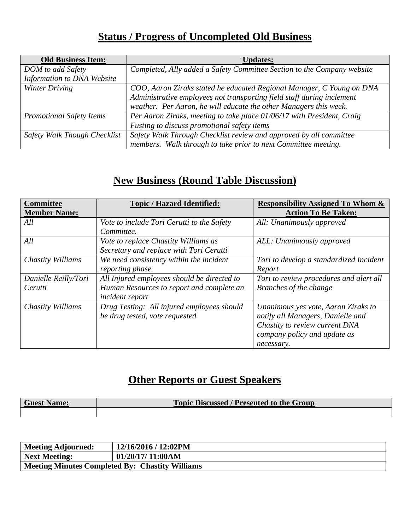# **Status / Progress of Uncompleted Old Business**

| <b>Old Business Item:</b>       | <b>Updates:</b>                                                         |
|---------------------------------|-------------------------------------------------------------------------|
| DOM to add Safety               | Completed, Ally added a Safety Committee Section to the Company website |
| Information to DNA Website      |                                                                         |
| Winter Driving                  | COO, Aaron Ziraks stated he educated Regional Manager, C Young on DNA   |
|                                 | Administrative employees not transporting field staff during inclement  |
|                                 | weather. Per Aaron, he will educate the other Managers this week.       |
| <b>Promotional Safety Items</b> | Per Aaron Ziraks, meeting to take place 01/06/17 with President, Craig  |
|                                 | Fusting to discuss promotional safety items                             |
| Safety Walk Though Checklist    | Safety Walk Through Checklist review and approved by all committee      |
|                                 | members. Walk through to take prior to next Committee meeting.          |

# **New Business (Round Table Discussion)**

| <b>Committee</b><br><b>Member Name:</b> | <b>Topic / Hazard Identified:</b>                                               | <b>Responsibility Assigned To Whom &amp;</b><br><b>Action To Be Taken:</b>                                                                               |
|-----------------------------------------|---------------------------------------------------------------------------------|----------------------------------------------------------------------------------------------------------------------------------------------------------|
| All                                     | Vote to include Tori Cerutti to the Safety<br>Committee.                        | All: Unanimously approved                                                                                                                                |
| All                                     | Vote to replace Chastity Williams as<br>Secretary and replace with Tori Cerutti | ALL: Unanimously approved                                                                                                                                |
| Chastity Williams                       | We need consistency within the incident<br>reporting phase.                     | Tori to develop a standardized Incident<br>Report                                                                                                        |
| Danielle Reilly/Tori                    | All Injured employees should be directed to                                     | Tori to review procedures and alert all                                                                                                                  |
| Cerutti                                 | Human Resources to report and complete an<br>incident report                    | Branches of the change                                                                                                                                   |
| Chastity Williams                       | Drug Testing: All injured employees should<br>be drug tested, vote requested    | Unanimous yes vote, Aaron Ziraks to<br>notify all Managers, Danielle and<br>Chastity to review current DNA<br>company policy and update as<br>necessary. |

# **Other Reports or Guest Speakers**

| <b>Guest Name:</b> | <b>Topic Discussed / Presented to the Group</b> |
|--------------------|-------------------------------------------------|
|                    |                                                 |

| <b>Meeting Adjourned:</b>                              | 12/16/2016 / 12:02PM |
|--------------------------------------------------------|----------------------|
| <b>Next Meeting:</b>                                   | 01/20/17/11:00AM     |
| <b>Meeting Minutes Completed By: Chastity Williams</b> |                      |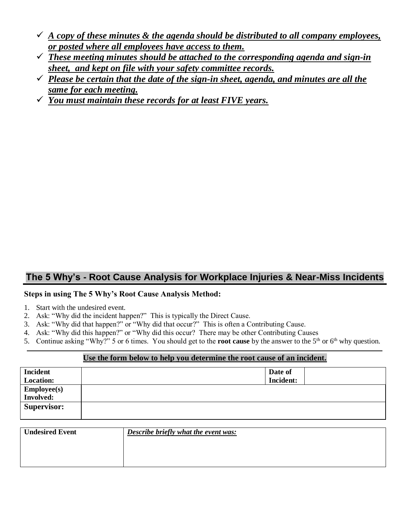- $\checkmark$  *A copy of these minutes & the agenda should be distributed to all company employees, or posted where all employees have access to them.*
- ✓ *These meeting minutes should be attached to the corresponding agenda and sign-in sheet, and kept on file with your safety committee records.*
- $\checkmark$  *Please be certain that the date of the sign-in sheet, agenda, and minutes are all the same for each meeting.*
- ✓ *You must maintain these records for at least FIVE years.*

#### **The 5 Why's - Root Cause Analysis for Workplace Injuries & Near-Miss Incidents**

#### **Steps in using The 5 Why's Root Cause Analysis Method:**

- 1. Start with the undesired event.
- 2. Ask: "Why did the incident happen?" This is typically the Direct Cause.
- 3. Ask: "Why did that happen?" or "Why did that occur?" This is often a Contributing Cause.
- 4. Ask: "Why did this happen?" or "Why did this occur? There may be other Contributing Causes
- 5. Continue asking "Why?" 5 or 6 times. You should get to the **root cause** by the answer to the  $5<sup>th</sup>$  or  $6<sup>th</sup>$  why question.

#### **Use the form below to help you determine the root cause of an incident.**

| <b>Incident</b>    | Date of          |
|--------------------|------------------|
| <b>Location:</b>   | <b>Incident:</b> |
| <b>Employee(s)</b> |                  |
| <b>Involved:</b>   |                  |
| <b>Supervisor:</b> |                  |
|                    |                  |

| <b>Undesired Event</b> | Describe briefly what the event was: |
|------------------------|--------------------------------------|
|                        |                                      |
|                        |                                      |
|                        |                                      |